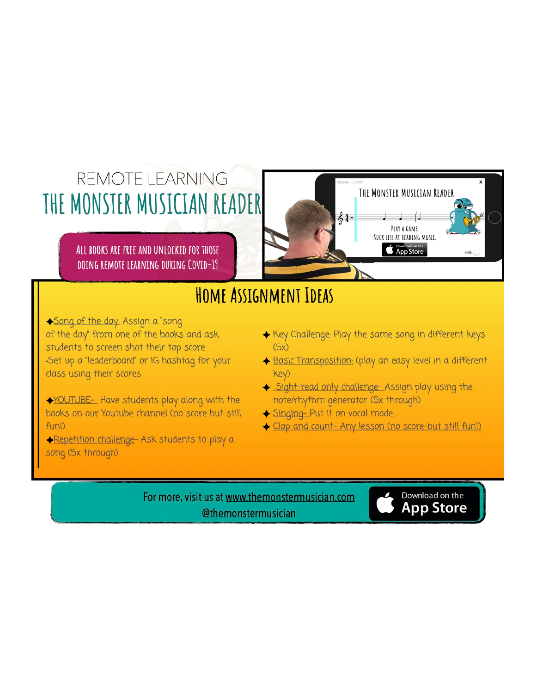# REMOTE LEARNING THE MONSTER MUSICIAN READER

ALL BOOKS ARE FREE AND UNLOCKED FOR THOSE DOING REMOTE LEARNING DURING COVID-19



Song of the day: Assign a "song of the day" from one of the books and ask students to screen shot their top score •Set up a "leaderboard" or IG hashtag for your class using their scores

YOUTUBE- Have students play along with the books on our Youtube channel (no score but still  $funD$ 

Repetition challenge- Ask students to play a song (5x through)

◆ Key Challenge: Play the same song in different keys  $(5x)$ 

THE MONSTER MUSICIAN READER

PLAY A GAME. SUCK LESS AT READING MUSIC.

**Conduction on the App Store** 

- Basic Transposition: (play an easy level in a different key)
- Sight-read only challenge- Assign play using the note/rhythm generator (5x through)
- Singing-Put it on vocal mode.

 $64 -$ 

← Clap and count- Any lesson (no score-but still funl)

For more, visit us at www.themonstermusician.com @themonstermusician

Download on the **App Store**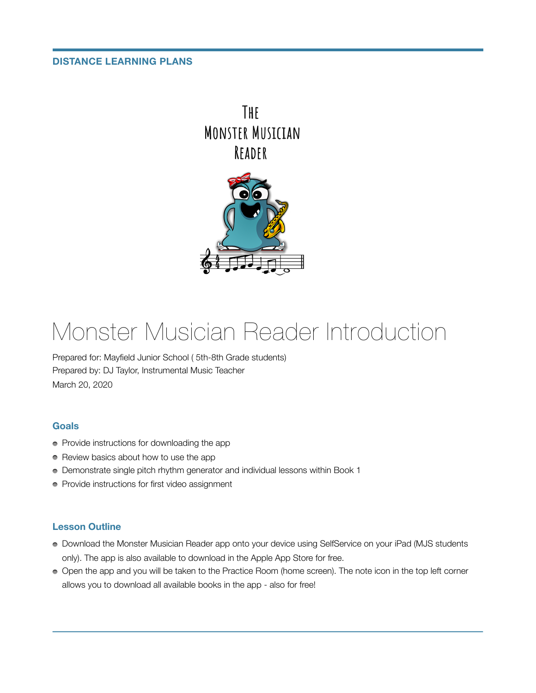#### **DISTANCE LEARNING PLANS**





# Monster Musician Reader Introduction

Prepared for: Mayfield Junior School ( 5th-8th Grade students) Prepared by: DJ Taylor, Instrumental Music Teacher March 20, 2020

#### **Goals**

- Provide instructions for downloading the app
- Review basics about how to use the app
- Demonstrate single pitch rhythm generator and individual lessons within Book 1
- Provide instructions for first video assignment

### **Lesson Outline**

- Download the Monster Musician Reader app onto your device using SelfService on your iPad (MJS students only). The app is also available to download in the Apple App Store for free.
- Open the app and you will be taken to the Practice Room (home screen). The note icon in the top left corner allows you to download all available books in the app - also for free!